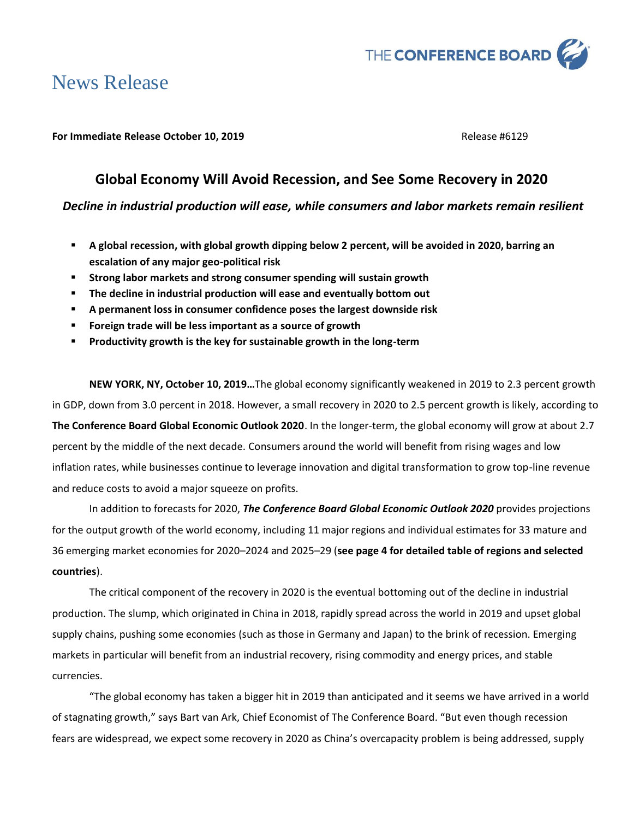

# News Release

### **For Immediate Release October 10, 2019 Release #6129** Release #6129

# **Global Economy Will Avoid Recession, and See Some Recovery in 2020**

# *Decline in industrial production will ease, while consumers and labor markets remain resilient*

- **A global recession, with global growth dipping below 2 percent, will be avoided in 2020, barring an escalation of any major geo-political risk**
- **Strong labor markets and strong consumer spending will sustain growth**
- The decline in industrial production will ease and eventually bottom out
- **A permanent loss in consumer confidence poses the largest downside risk**
- Foreign trade will be less important as a source of growth
- **Productivity growth is the key for sustainable growth in the long-term**

**NEW YORK, NY, October 10, 2019…**The global economy significantly weakened in 2019 to 2.3 percent growth in GDP, down from 3.0 percent in 2018. However, a small recovery in 2020 to 2.5 percent growth is likely, according to **The Conference Board Global Economic Outlook 2020**. In the longer-term, the global economy will grow at about 2.7 percent by the middle of the next decade. Consumers around the world will benefit from rising wages and low inflation rates, while businesses continue to leverage innovation and digital transformation to grow top-line revenue and reduce costs to avoid a major squeeze on profits.

In addition to forecasts for 2020, *The Conference Board Global Economic Outlook 2020* provides projections for the output growth of the world economy, including 11 major regions and individual estimates for 33 mature and 36 emerging market economies for 2020–2024 and 2025–29 (**see page 4 for detailed table of regions and selected countries**).

The critical component of the recovery in 2020 is the eventual bottoming out of the decline in industrial production. The slump, which originated in China in 2018, rapidly spread across the world in 2019 and upset global supply chains, pushing some economies (such as those in Germany and Japan) to the brink of recession. Emerging markets in particular will benefit from an industrial recovery, rising commodity and energy prices, and stable currencies.

"The global economy has taken a bigger hit in 2019 than anticipated and it seems we have arrived in a world of stagnating growth," says Bart van Ark, Chief Economist of The Conference Board. "But even though recession fears are widespread, we expect some recovery in 2020 as China's overcapacity problem is being addressed, supply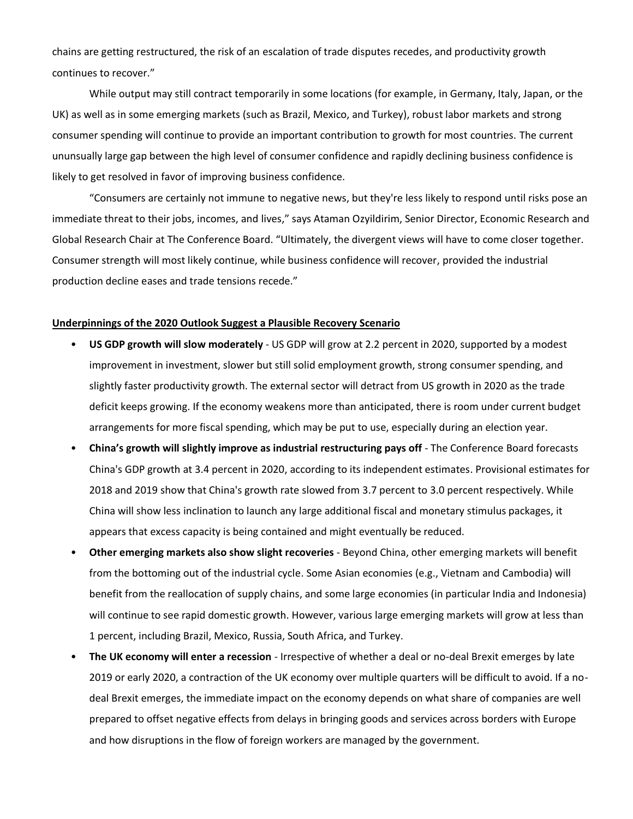chains are getting restructured, the risk of an escalation of trade disputes recedes, and productivity growth continues to recover."

While output may still contract temporarily in some locations (for example, in Germany, Italy, Japan, or the UK) as well as in some emerging markets (such as Brazil, Mexico, and Turkey), robust labor markets and strong consumer spending will continue to provide an important contribution to growth for most countries. The current ununsually large gap between the high level of consumer confidence and rapidly declining business confidence is likely to get resolved in favor of improving business confidence.

"Consumers are certainly not immune to negative news, but they're less likely to respond until risks pose an immediate threat to their jobs, incomes, and lives," says Ataman Ozyildirim, Senior Director, Economic Research and Global Research Chair at The Conference Board. "Ultimately, the divergent views will have to come closer together. Consumer strength will most likely continue, while business confidence will recover, provided the industrial production decline eases and trade tensions recede."

#### **Underpinnings of the 2020 Outlook Suggest a Plausible Recovery Scenario**

- **US GDP growth will slow moderately** US GDP will grow at 2.2 percent in 2020, supported by a modest improvement in investment, slower but still solid employment growth, strong consumer spending, and slightly faster productivity growth. The external sector will detract from US growth in 2020 as the trade deficit keeps growing. If the economy weakens more than anticipated, there is room under current budget arrangements for more fiscal spending, which may be put to use, especially during an election year.
- **China's growth will slightly improve as industrial restructuring pays off** The Conference Board forecasts China's GDP growth at 3.4 percent in 2020, according to its independent estimates. Provisional estimates for 2018 and 2019 show that China's growth rate slowed from 3.7 percent to 3.0 percent respectively. While China will show less inclination to launch any large additional fiscal and monetary stimulus packages, it appears that excess capacity is being contained and might eventually be reduced.
- **Other emerging markets also show slight recoveries** Beyond China, other emerging markets will benefit from the bottoming out of the industrial cycle. Some Asian economies (e.g., Vietnam and Cambodia) will benefit from the reallocation of supply chains, and some large economies (in particular India and Indonesia) will continue to see rapid domestic growth. However, various large emerging markets will grow at less than 1 percent, including Brazil, Mexico, Russia, South Africa, and Turkey.
- **The UK economy will enter a recession** Irrespective of whether a deal or no-deal Brexit emerges by late 2019 or early 2020, a contraction of the UK economy over multiple quarters will be difficult to avoid. If a nodeal Brexit emerges, the immediate impact on the economy depends on what share of companies are well prepared to offset negative effects from delays in bringing goods and services across borders with Europe and how disruptions in the flow of foreign workers are managed by the government.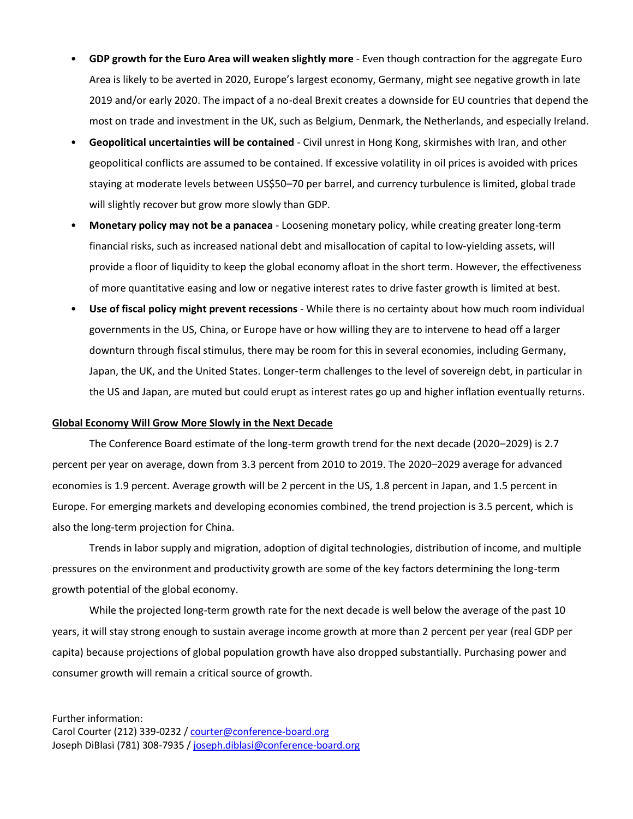- **GDP growth for the Euro Area will weaken slightly more** Even though contraction for the aggregate Euro Area is likely to be averted in 2020, Europe's largest economy, Germany, might see negative growth in late 2019 and/or early 2020. The impact of a no-deal Brexit creates a downside for EU countries that depend the most on trade and investment in the UK, such as Belgium, Denmark, the Netherlands, and especially Ireland.
- **Geopolitical uncertainties will be contained** Civil unrest in Hong Kong, skirmishes with Iran, and other geopolitical conflicts are assumed to be contained. If excessive volatility in oil prices is avoided with prices staying at moderate levels between US\$50–70 per barrel, and currency turbulence is limited, global trade will slightly recover but grow more slowly than GDP.
- **Monetary policy may not be a panacea** Loosening monetary policy, while creating greater long-term financial risks, such as increased national debt and misallocation of capital to low-yielding assets, will provide a floor of liquidity to keep the global economy afloat in the short term. However, the effectiveness of more quantitative easing and low or negative interest rates to drive faster growth is limited at best.
- **Use of fiscal policy might prevent recessions** While there is no certainty about how much room individual governments in the US, China, or Europe have or how willing they are to intervene to head off a larger downturn through fiscal stimulus, there may be room for this in several economies, including Germany, Japan, the UK, and the United States. Longer-term challenges to the level of sovereign debt, in particular in the US and Japan, are muted but could erupt as interest rates go up and higher inflation eventually returns.

#### **Global Economy Will Grow More Slowly in the Next Decade**

The Conference Board estimate of the long-term growth trend for the next decade (2020–2029) is 2.7 percent per year on average, down from 3.3 percent from 2010 to 2019. The 2020–2029 average for advanced economies is 1.9 percent. Average growth will be 2 percent in the US, 1.8 percent in Japan, and 1.5 percent in Europe. For emerging markets and developing economies combined, the trend projection is 3.5 percent, which is also the long-term projection for China.

Trends in labor supply and migration, adoption of digital technologies, distribution of income, and multiple pressures on the environment and productivity growth are some of the key factors determining the long-term growth potential of the global economy.

While the projected long-term growth rate for the next decade is well below the average of the past 10 years, it will stay strong enough to sustain average income growth at more than 2 percent per year (real GDP per capita) because projections of global population growth have also dropped substantially. Purchasing power and consumer growth will remain a critical source of growth.

Further information: Carol Courter (212) 339-0232 / [courter@conference-board.org](mailto:courter@conference-board.org) Joseph DiBlasi (781) 308-7935 / [joseph.diblasi@conference-board.org](mailto:joseph.diblasi@conference-board.org)